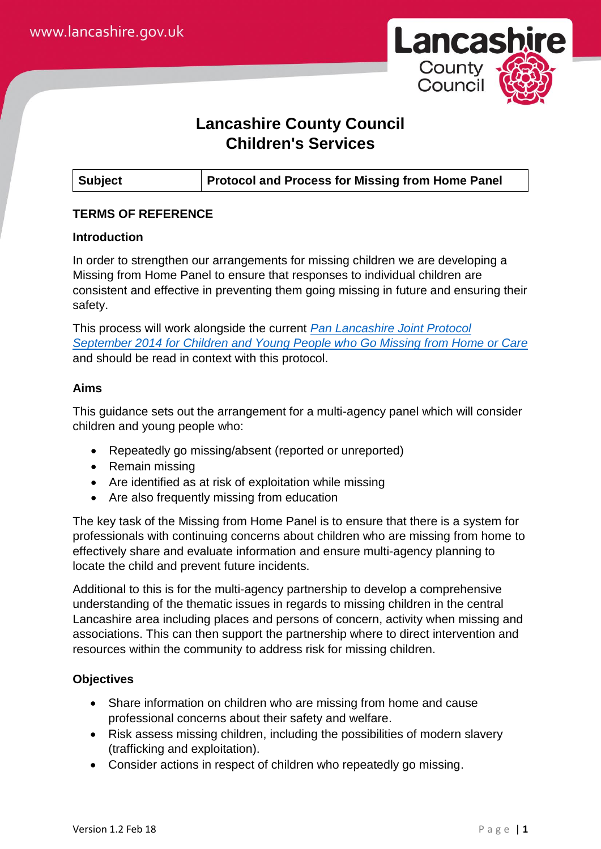

# **Lancashire County Council Children's Services**

# **TERMS OF REFERENCE**

## **Introduction**

In order to strengthen our arrangements for missing children we are developing a Missing from Home Panel to ensure that responses to individual children are consistent and effective in preventing them going missing in future and ensuring their safety.

This process will work alongside the current *[Pan Lancashire Joint Protocol](http://panlancashirescb.proceduresonline.com/pdfs/joint_proto.pdf)  [September 2014 for Children and Young People who Go Missing from Home or Care](http://panlancashirescb.proceduresonline.com/pdfs/joint_proto.pdf)* and should be read in context with this protocol.

# **Aims**

This guidance sets out the arrangement for a multi-agency panel which will consider children and young people who:

- Repeatedly go missing/absent (reported or unreported)
- Remain missing
- Are identified as at risk of exploitation while missing
- Are also frequently missing from education

The key task of the Missing from Home Panel is to ensure that there is a system for professionals with continuing concerns about children who are missing from home to effectively share and evaluate information and ensure multi-agency planning to locate the child and prevent future incidents.

Additional to this is for the multi-agency partnership to develop a comprehensive understanding of the thematic issues in regards to missing children in the central Lancashire area including places and persons of concern, activity when missing and associations. This can then support the partnership where to direct intervention and resources within the community to address risk for missing children.

# **Objectives**

- Share information on children who are missing from home and cause professional concerns about their safety and welfare.
- Risk assess missing children, including the possibilities of modern slavery (trafficking and exploitation).
- Consider actions in respect of children who repeatedly go missing.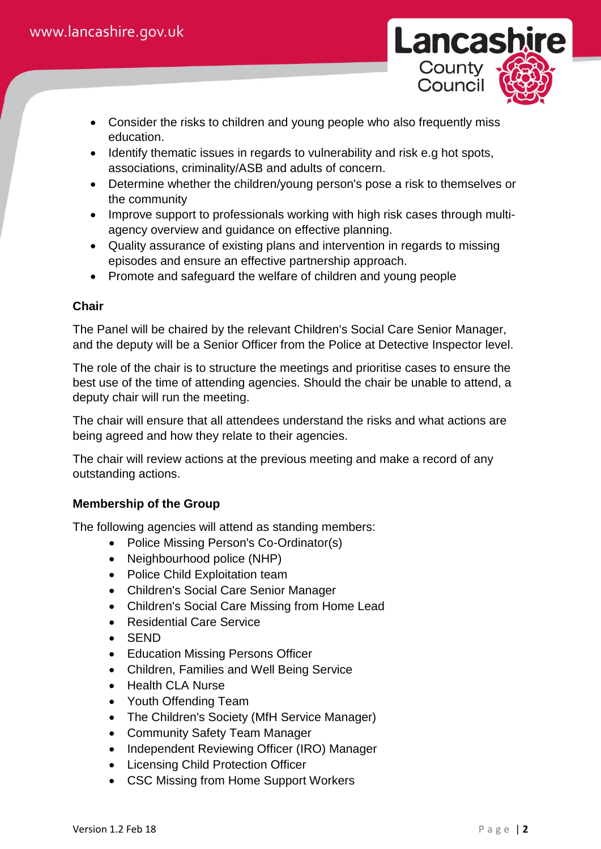

- Consider the risks to children and young people who also frequently miss education.
- Identify thematic issues in regards to vulnerability and risk e.g hot spots, associations, criminality/ASB and adults of concern.
- Determine whether the children/young person's pose a risk to themselves or the community
- Improve support to professionals working with high risk cases through multiagency overview and guidance on effective planning.
- Quality assurance of existing plans and intervention in regards to missing episodes and ensure an effective partnership approach.
- Promote and safeguard the welfare of children and young people

# **Chair**

The Panel will be chaired by the relevant Children's Social Care Senior Manager, and the deputy will be a Senior Officer from the Police at Detective Inspector level.

The role of the chair is to structure the meetings and prioritise cases to ensure the best use of the time of attending agencies. Should the chair be unable to attend, a deputy chair will run the meeting.

The chair will ensure that all attendees understand the risks and what actions are being agreed and how they relate to their agencies.

The chair will review actions at the previous meeting and make a record of any outstanding actions.

# **Membership of the Group**

The following agencies will attend as standing members:

- Police Missing Person's Co-Ordinator(s)
- Neighbourhood police (NHP)
- Police Child Exploitation team
- Children's Social Care Senior Manager
- Children's Social Care Missing from Home Lead
- Residential Care Service
- SEND
- Education Missing Persons Officer
- Children, Families and Well Being Service
- Health CLA Nurse
- Youth Offending Team
- The Children's Society (MfH Service Manager)
- Community Safety Team Manager
- Independent Reviewing Officer (IRO) Manager
- Licensing Child Protection Officer
- CSC Missing from Home Support Workers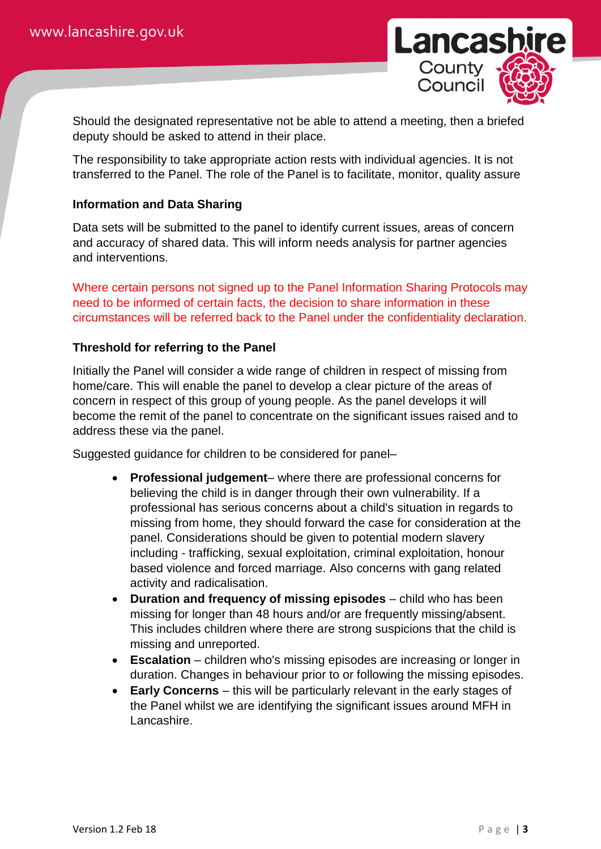

Should the designated representative not be able to attend a meeting, then a briefed deputy should be asked to attend in their place.

The responsibility to take appropriate action rests with individual agencies. It is not transferred to the Panel. The role of the Panel is to facilitate, monitor, quality assure

# **Information and Data Sharing**

Data sets will be submitted to the panel to identify current issues, areas of concern and accuracy of shared data. This will inform needs analysis for partner agencies and interventions.

Where certain persons not signed up to the Panel Information Sharing Protocols may need to be informed of certain facts, the decision to share information in these circumstances will be referred back to the Panel under the confidentiality declaration.

## **Threshold for referring to the Panel**

Initially the Panel will consider a wide range of children in respect of missing from home/care. This will enable the panel to develop a clear picture of the areas of concern in respect of this group of young people. As the panel develops it will become the remit of the panel to concentrate on the significant issues raised and to address these via the panel.

Suggested guidance for children to be considered for panel–

- **Professional judgement** where there are professional concerns for believing the child is in danger through their own vulnerability. If a professional has serious concerns about a child's situation in regards to missing from home, they should forward the case for consideration at the panel. Considerations should be given to potential modern slavery including - trafficking, sexual exploitation, criminal exploitation, honour based violence and forced marriage. Also concerns with gang related activity and radicalisation.
- **Duration and frequency of missing episodes** child who has been missing for longer than 48 hours and/or are frequently missing/absent. This includes children where there are strong suspicions that the child is missing and unreported.
- **Escalation** children who's missing episodes are increasing or longer in duration. Changes in behaviour prior to or following the missing episodes.
- **Early Concerns** this will be particularly relevant in the early stages of the Panel whilst we are identifying the significant issues around MFH in Lancashire.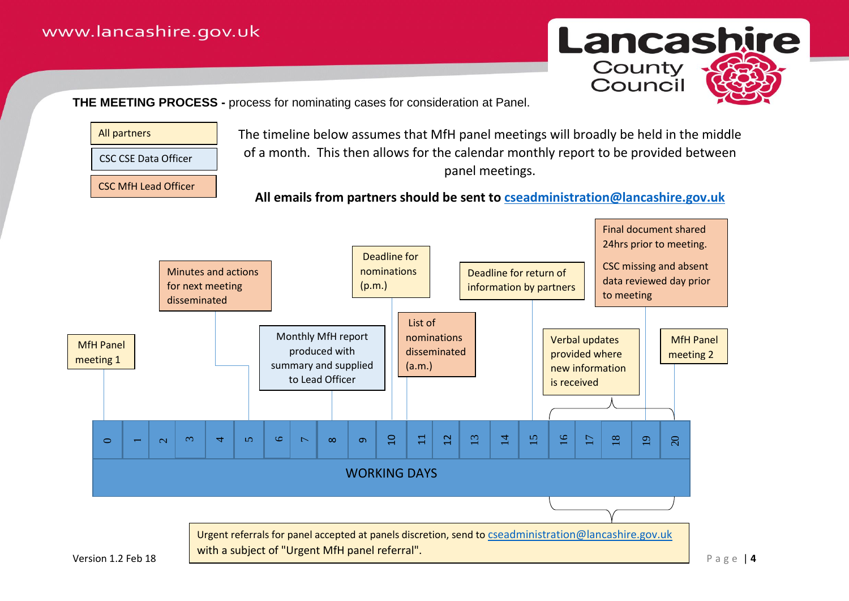

**THE MEETING PROCESS -** process for nominating cases for consideration at Panel.



CSC MfH Lead Officer

The timeline below assumes that MfH panel meetings will broadly be held in the middle of a month. This then allows for the calendar monthly report to be provided between panel meetings.

**All emails from partners should be sent to [cseadministration@lancashire.gov.uk](mailto:cseadministration@lancashire.gov.uk)**

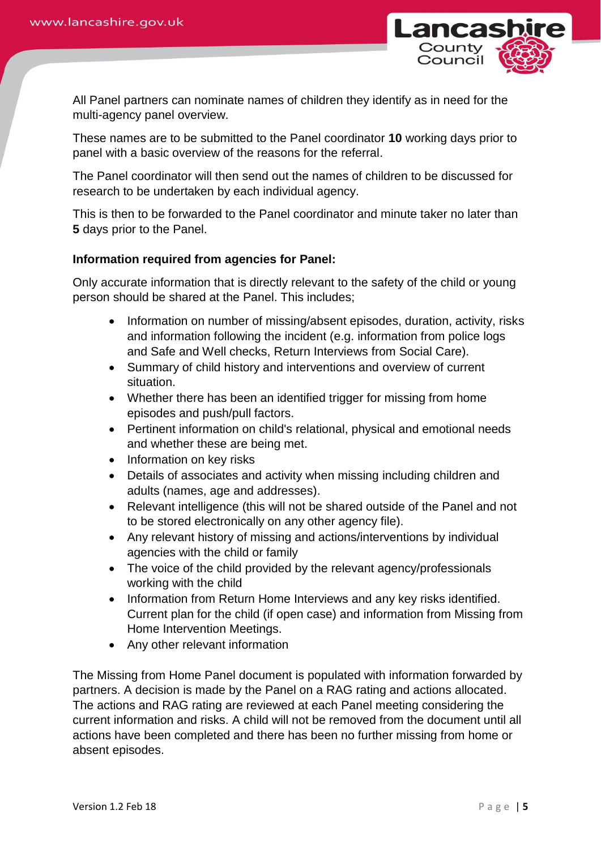

All Panel partners can nominate names of children they identify as in need for the multi-agency panel overview.

These names are to be submitted to the Panel coordinator **10** working days prior to panel with a basic overview of the reasons for the referral.

The Panel coordinator will then send out the names of children to be discussed for research to be undertaken by each individual agency.

This is then to be forwarded to the Panel coordinator and minute taker no later than **5** days prior to the Panel.

## **Information required from agencies for Panel:**

Only accurate information that is directly relevant to the safety of the child or young person should be shared at the Panel. This includes;

- Information on number of missing/absent episodes, duration, activity, risks and information following the incident (e.g. information from police logs and Safe and Well checks, Return Interviews from Social Care).
- Summary of child history and interventions and overview of current situation.
- Whether there has been an identified trigger for missing from home episodes and push/pull factors.
- Pertinent information on child's relational, physical and emotional needs and whether these are being met.
- Information on key risks
- Details of associates and activity when missing including children and adults (names, age and addresses).
- Relevant intelligence (this will not be shared outside of the Panel and not to be stored electronically on any other agency file).
- Any relevant history of missing and actions/interventions by individual agencies with the child or family
- The voice of the child provided by the relevant agency/professionals working with the child
- Information from Return Home Interviews and any key risks identified. Current plan for the child (if open case) and information from Missing from Home Intervention Meetings.
- Any other relevant information

The Missing from Home Panel document is populated with information forwarded by partners. A decision is made by the Panel on a RAG rating and actions allocated. The actions and RAG rating are reviewed at each Panel meeting considering the current information and risks. A child will not be removed from the document until all actions have been completed and there has been no further missing from home or absent episodes.